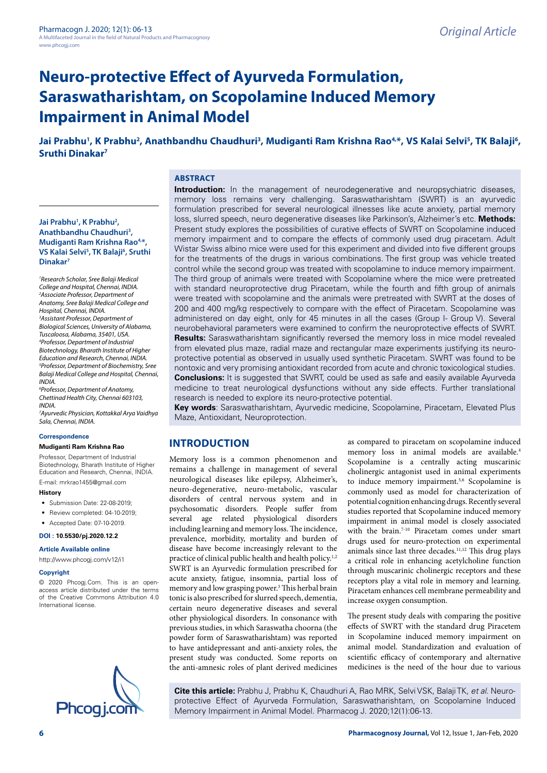# **Neuro-protective Effect of Ayurveda Formulation, Saraswatharishtam, on Scopolamine Induced Memory Impairment in Animal Model**

# Jai Prabhu<sup>1</sup>, K Prabhu<sup>2</sup>, Anathbandhu Chaudhuri<sup>3</sup>, Mudiganti Ram Krishna Rao<sup>4,\*</sup>, VS Kalai Selvi<sup>5</sup>, TK Balaji<sup>6</sup>, **Sruthi Dinakar7**

# **ABSTRACT**

## **Jai Prabhu1 , K Prabhu2 , Anathbandhu Chaudhuri3 , Mudiganti Ram Krishna Rao4,\*, VS Kalai Selvi5 , TK Balaji6 , Sruthi Dinakar7**

*1 Research Scholar, Sree Balaji Medical College and Hospital, Chennai, INDIA. 2 Associate Professor, Department of Anatomy, Sree Balaji Medical College and Hospital, Chennai, INDIA. 3 Assistant Professor, Department of Biological Sciences, University of Alabama, Tuscaloosa, Alabama, 35401, USA. 4 Professor, Department of Industrial Biotechnology, Bharath Institute of Higher Education and Research, Chennai, INDIA. 5 Professor, Department of Biochemistry, Sree Balaji Medical College and Hospital, Chennai, INDIA.*

*6 Professor, Department of Anatomy, Chettinad Health City, Chennai 603103, INDIA.*

*7 Ayurvedic Physician, Kottakkal Arya Vaidhya Sala, Chennai, INDIA.*

#### **Correspondence**

#### **Mudiganti Ram Krishna Rao**

Professor, Department of Industrial Biotechnology, Bharath Institute of Higher Education and Research, Chennai, INDIA. E-mail: mrkrao1455@gmail.com

**History**

- Submission Date: 22-08-2019;
- Review completed: 04-10-2019;
- Accepted Date: 07-10-2019.

**DOI : 10.5530/pj.2020.12.2**

**Article Available online** 

<http://www.phcogj.com/v12/i1>

#### **Copyright**

© 2020 Phcogj.Com. This is an openaccess article distributed under the terms of the Creative Commons Attribution 4.0 International license.



**Introduction:** In the management of neurodegenerative and neuropsychiatric diseases, memory loss remains very challenging. Saraswatharishtam (SWRT) is an ayurvedic formulation prescribed for several neurological illnesses like acute anxiety, partial memory loss, slurred speech, neuro degenerative diseases like Parkinson's, Alzheimer's etc. **Methods:** Present study explores the possibilities of curative effects of SWRT on Scopolamine induced memory impairment and to compare the effects of commonly used drug piracetam. Adult Wistar Swiss albino mice were used for this experiment and divided into five different groups for the treatments of the drugs in various combinations. The first group was vehicle treated control while the second group was treated with scopolamine to induce memory impairment. The third group of animals were treated with Scopolamine where the mice were pretreated with standard neuroprotective drug Piracetam, while the fourth and fifth group of animals were treated with scopolamine and the animals were pretreated with SWRT at the doses of 200 and 400 mg/kg respectively to compare with the effect of Piracetam. Scopolamine was administered on day eight, only for 45 minutes in all the cases (Group I- Group V). Several neurobehavioral parameters were examined to confirm the neuroprotective effects of SWRT. **Results:** Saraswatharishtam significantly reversed the memory loss in mice model revealed from elevated plus maze, radial maze and rectangular maze experiments justifying its neuroprotective potential as observed in usually used synthetic Piracetam. SWRT was found to be nontoxic and very promising antioxidant recorded from acute and chronic toxicological studies. **Conclusions:** It is suggested that SWRT, could be used as safe and easily available Ayurveda medicine to treat neurological dysfunctions without any side effects. Further translational research is needed to explore its neuro-protective potential.

**Key words**: Saraswatharishtam, Ayurvedic medicine, Scopolamine, Piracetam, Elevated Plus Maze, Antioxidant, Neuroprotection.

# **INTRODUCTION**

Memory loss is a common phenomenon and remains a challenge in management of several neurological diseases like epilepsy, Alzheimer's, neuro-degenerative, neuro-metabolic, vascular disorders of central nervous system and in psychosomatic disorders. People suffer from several age related physiological disorders including learning and memory loss. The incidence, prevalence, morbidity, mortality and burden of disease have become increasingly relevant to the practice of clinical public health and health policy.1,2 SWRT is an Ayurvedic formulation prescribed for acute anxiety, fatigue, insomnia, partial loss of memory and low grasping power.<sup>3</sup> This herbal brain tonic is also prescribed for slurred speech, dementia, certain neuro degenerative diseases and several other physiological disorders. In consonance with previous studies, in which Saraswatha choorna (the powder form of Saraswatharishtam) was reported to have antidepressant and anti-anxiety roles, the present study was conducted. Some reports on the anti-amnesic roles of plant derived medicines as compared to piracetam on scopolamine induced memory loss in animal models are available.4 Scopolamine is a centrally acting muscarinic cholinergic antagonist used in animal experiments to induce memory impairment.<sup>5,6</sup> Scopolamine is commonly used as model for characterization of potential cognition enhancing drugs. Recently several studies reported that Scopolamine induced memory impairment in animal model is closely associated with the brain.7-10 Piracetam comes under smart drugs used for neuro-protection on experimental animals since last three decades.11,12 This drug plays a critical role in enhancing acetylcholine function through muscarinic cholinergic receptors and these receptors play a vital role in memory and learning. Piracetam enhances cell membrane permeability and increase oxygen consumption.

The present study deals with comparing the positive effects of SWRT with the standard drug Piracetem in Scopolamine induced memory impairment on animal model. Standardization and evaluation of scientific efficacy of contemporary and alternative medicines is the need of the hour due to various

**Cite this article:** Prabhu J, Prabhu K, Chaudhuri A, Rao MRK, Selvi VSK, Balaji TK, *et al*. Neuroprotective Effect of Ayurveda Formulation, Saraswatharishtam, on Scopolamine Induced Memory Impairment in Animal Model. Pharmacog J. 2020;12(1):06-13.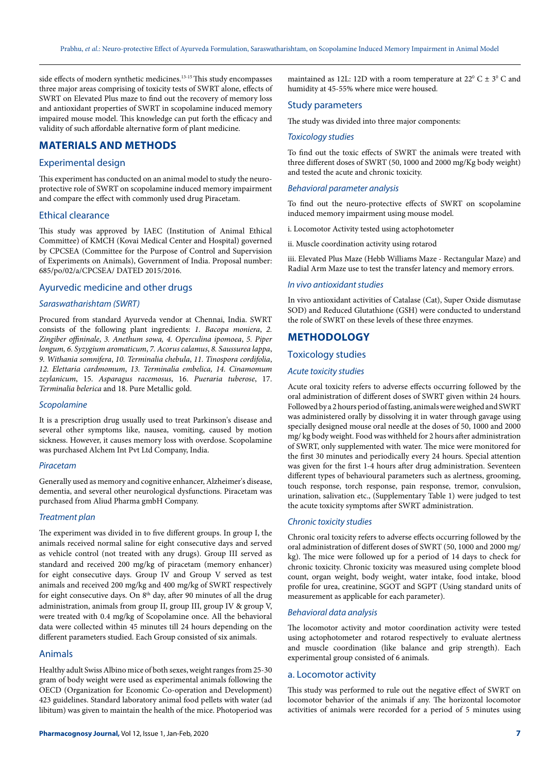side effects of modern synthetic medicines.13-15 This study encompasses three major areas comprising of toxicity tests of SWRT alone, effects of SWRT on Elevated Plus maze to find out the recovery of memory loss and antioxidant properties of SWRT in scopolamine induced memory impaired mouse model. This knowledge can put forth the efficacy and validity of such affordable alternative form of plant medicine.

# **MATERIALS AND METHODS**

## Experimental design

This experiment has conducted on an animal model to study the neuroprotective role of SWRT on scopolamine induced memory impairment and compare the effect with commonly used drug Piracetam.

## Ethical clearance

This study was approved by IAEC (Institution of Animal Ethical Committee) of KMCH (Kovai Medical Center and Hospital) governed by CPCSEA (Committee for the Purpose of Control and Supervision of Experiments on Animals), Government of India. Proposal number: 685/po/02/a/CPCSEA/ DATED 2015/2016.

## Ayurvedic medicine and other drugs

#### *Saraswatharishtam (SWRT)*

Procured from standard Ayurveda vendor at Chennai, India. SWRT consists of the following plant ingredients: *1. Bacopa moniera*, *2. Zingiber offininale*, *3. Anethum sowa, 4. Operculina ipomoea*, *5. Piper longum, 6. Syzygium aromaticum*, *7. Acorus calamus*, *8. Saussurea lappa*, *9. Withania somnifera*, *10. Terminalia chebula*, *11. Tinospora cordifolia*, *12. Elettaria cardmomum*, *13. Terminalia embelica, 14. Cinamomum zeylanicum*, 15. *Asparagus racemosus*, 16. *Pueraria tuberose*, 17. *Terminalia belerica* and 18. Pure Metallic gold.

#### *Scopolamine*

It is a prescription drug usually used to treat Parkinson's disease and several other symptoms like, nausea, vomiting, caused by motion sickness. However, it causes memory loss with overdose. Scopolamine was purchased Alchem Int Pvt Ltd Company, India.

#### *Piracetam*

Generally used as memory and cognitive enhancer, Alzheimer's disease, dementia, and several other neurological dysfunctions. Piracetam was purchased from Aliud Pharma gmbH Company.

#### *Treatment plan*

The experiment was divided in to five different groups. In group I, the animals received normal saline for eight consecutive days and served as vehicle control (not treated with any drugs). Group III served as standard and received 200 mg/kg of piracetam (memory enhancer) for eight consecutive days. Group IV and Group V served as test animals and received 200 mg/kg and 400 mg/kg of SWRT respectively for eight consecutive days. On  $8<sup>th</sup>$  day, after 90 minutes of all the drug administration, animals from group II, group III, group IV & group V, were treated with 0.4 mg/kg of Scopolamine once. All the behavioral data were collected within 45 minutes till 24 hours depending on the different parameters studied. Each Group consisted of six animals.

#### Animals

Healthy adult Swiss Albino mice of both sexes, weight ranges from 25-30 gram of body weight were used as experimental animals following the OECD (Organization for Economic Co-operation and Development) 423 guidelines. Standard laboratory animal food pellets with water (ad libitum) was given to maintain the health of the mice. Photoperiod was

maintained as 12L: 12D with a room temperature at  $22^{\circ}$  C  $\pm$  3<sup>o</sup> C and humidity at 45-55% where mice were housed.

#### Study parameters

The study was divided into three major components:

#### *Toxicology studies*

To find out the toxic effects of SWRT the animals were treated with three different doses of SWRT (50, 1000 and 2000 mg/Kg body weight) and tested the acute and chronic toxicity.

#### *Behavioral parameter analysis*

To find out the neuro-protective effects of SWRT on scopolamine induced memory impairment using mouse model.

i. Locomotor Activity tested using actophotometer

ii. Muscle coordination activity using rotarod

iii. Elevated Plus Maze (Hebb Williams Maze - Rectangular Maze) and Radial Arm Maze use to test the transfer latency and memory errors.

#### *In vivo antioxidant studies*

In vivo antioxidant activities of Catalase (Cat), Super Oxide dismutase SOD) and Reduced Glutathione (GSH) were conducted to understand the role of SWRT on these levels of these three enzymes.

## **METHODOLOGY**

#### Toxicology studies

#### *Acute toxicity studies*

Acute oral toxicity refers to adverse effects occurring followed by the oral administration of different doses of SWRT given within 24 hours. Followed by a 2 hours period of fasting, animals were weighed and SWRT was administered orally by dissolving it in water through gavage using specially designed mouse oral needle at the doses of 50, 1000 and 2000 mg/ kg body weight. Food was withheld for 2 hours after administration of SWRT, only supplemented with water. The mice were monitored for the first 30 minutes and periodically every 24 hours. Special attention was given for the first 1-4 hours after drug administration. Seventeen different types of behavioural parameters such as alertness, grooming, touch response, torch response, pain response, tremor, convulsion, urination, salivation etc., (Supplementary Table 1) were judged to test the acute toxicity symptoms after SWRT administration.

#### *Chronic toxicity studies*

Chronic oral toxicity refers to adverse effects occurring followed by the oral administration of different doses of SWRT (50, 1000 and 2000 mg/ kg). The mice were followed up for a period of 14 days to check for chronic toxicity. Chronic toxicity was measured using complete blood count, organ weight, body weight, water intake, food intake, blood profile for urea, creatinine, SGOT and SGPT (Using standard units of measurement as applicable for each parameter).

#### *Behavioral data analysis*

The locomotor activity and motor coordination activity were tested using actophotometer and rotarod respectively to evaluate alertness and muscle coordination (like balance and grip strength). Each experimental group consisted of 6 animals.

## a. Locomotor activity

This study was performed to rule out the negative effect of SWRT on locomotor behavior of the animals if any. The horizontal locomotor activities of animals were recorded for a period of 5 minutes using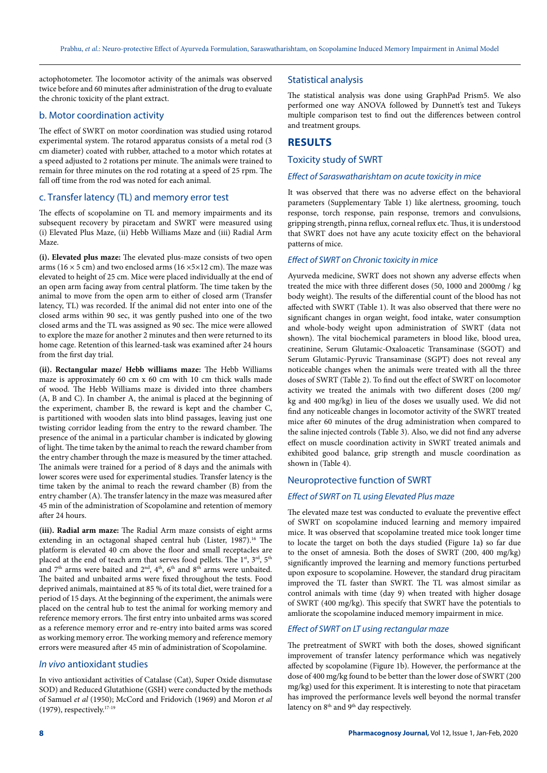actophotometer. The locomotor activity of the animals was observed twice before and 60 minutes after administration of the drug to evaluate the chronic toxicity of the plant extract.

## b. Motor coordination activity

The effect of SWRT on motor coordination was studied using rotarod experimental system. The rotarod apparatus consists of a metal rod (3 cm diameter) coated with rubber, attached to a motor which rotates at a speed adjusted to 2 rotations per minute. The animals were trained to remain for three minutes on the rod rotating at a speed of 25 rpm. The fall off time from the rod was noted for each animal.

## c. Transfer latency (TL) and memory error test

The effects of scopolamine on TL and memory impairments and its subsequent recovery by piracetam and SWRT were measured using (i) Elevated Plus Maze, (ii) Hebb Williams Maze and (iii) Radial Arm Maze.

**(i). Elevated plus maze:** The elevated plus-maze consists of two open arms ( $16 \times 5$  cm) and two enclosed arms ( $16 \times 5 \times 12$  cm). The maze was elevated to height of 25 cm. Mice were placed individually at the end of an open arm facing away from central platform. The time taken by the animal to move from the open arm to either of closed arm (Transfer latency, TL) was recorded. If the animal did not enter into one of the closed arms within 90 sec, it was gently pushed into one of the two closed arms and the TL was assigned as 90 sec. The mice were allowed to explore the maze for another 2 minutes and then were returned to its home cage. Retention of this learned-task was examined after 24 hours from the first day trial.

**(ii). Rectangular maze/ Hebb williams maze:** The Hebb Williams maze is approximately 60 cm x 60 cm with 10 cm thick walls made of wood. The Hebb Williams maze is divided into three chambers (A, B and C). In chamber A, the animal is placed at the beginning of the experiment, chamber B, the reward is kept and the chamber C, is partitioned with wooden slats into blind passages, leaving just one twisting corridor leading from the entry to the reward chamber. The presence of the animal in a particular chamber is indicated by glowing of light. The time taken by the animal to reach the reward chamber from the entry chamber through the maze is measured by the timer attached. The animals were trained for a period of 8 days and the animals with lower scores were used for experimental studies. Transfer latency is the time taken by the animal to reach the reward chamber (B) from the entry chamber (A). The transfer latency in the maze was measured after 45 min of the administration of Scopolamine and retention of memory after 24 hours.

**(iii). Radial arm maze:** The Radial Arm maze consists of eight arms extending in an octagonal shaped central hub (Lister, 1987).<sup>16</sup> The platform is elevated 40 cm above the floor and small receptacles are placed at the end of teach arm that serves food pellets. The  $1^{st}$ ,  $3^{rd}$ ,  $5^{th}$ and  $7<sup>th</sup>$  arms were baited and  $2<sup>nd</sup>$ ,  $4<sup>th</sup>$ ,  $6<sup>th</sup>$  and  $8<sup>th</sup>$  arms were unbaited. The baited and unbaited arms were fixed throughout the tests. Food deprived animals, maintained at 85 % of its total diet, were trained for a period of 15 days. At the beginning of the experiment, the animals were placed on the central hub to test the animal for working memory and reference memory errors. The first entry into unbaited arms was scored as a reference memory error and re-entry into baited arms was scored as working memory error. The working memory and reference memory errors were measured after 45 min of administration of Scopolamine.

## *In vivo* antioxidant studies

In vivo antioxidant activities of Catalase (Cat), Super Oxide dismutase SOD) and Reduced Glutathione (GSH) were conducted by the methods of Samuel *et al* (1950); McCord and Fridovich (1969) and Moron *et al* (1979), respectively.17-19

## Statistical analysis

The statistical analysis was done using GraphPad Prism5. We also performed one way ANOVA followed by Dunnett's test and Tukeys multiple comparison test to find out the differences between control and treatment groups.

## **RESULTS**

Toxicity study of SWRT

## *Effect of Saraswatharishtam on acute toxicity in mice*

It was observed that there was no adverse effect on the behavioral parameters (Supplementary Table 1) like alertness, grooming, touch response, torch response, pain response, tremors and convulsions, gripping strength, pinna reflux, corneal reflux etc. Thus, it is understood that SWRT does not have any acute toxicity effect on the behavioral patterns of mice.

#### *Effect of SWRT on Chronic toxicity in mice*

Ayurveda medicine, SWRT does not shown any adverse effects when treated the mice with three different doses (50, 1000 and 2000mg / kg body weight). The results of the differential count of the blood has not affected with SWRT (Table 1). It was also observed that there were no significant changes in organ weight, food intake, water consumption and whole-body weight upon administration of SWRT (data not shown). The vital biochemical parameters in blood like, blood urea, creatinine, Serum Glutamic-Oxaloacetic Transaminase (SGOT) and Serum Glutamic-Pyruvic Transaminase (SGPT) does not reveal any noticeable changes when the animals were treated with all the three doses of SWRT (Table 2). To find out the effect of SWRT on locomotor activity we treated the animals with two different doses (200 mg/ kg and 400 mg/kg) in lieu of the doses we usually used. We did not find any noticeable changes in locomotor activity of the SWRT treated mice after 60 minutes of the drug administration when compared to the saline injected controls (Table 3). Also, we did not find any adverse effect on muscle coordination activity in SWRT treated animals and exhibited good balance, grip strength and muscle coordination as shown in (Table 4).

## Neuroprotective function of SWRT

#### *Effect of SWRT on TL using Elevated Plus maze*

The elevated maze test was conducted to evaluate the preventive effect of SWRT on scopolamine induced learning and memory impaired mice. It was observed that scopolamine treated mice took longer time to locate the target on both the days studied **(**Figure 1a**)** so far due to the onset of amnesia. Both the doses of SWRT (200, 400 mg/kg) significantly improved the learning and memory functions perturbed upon exposure to scopolamine. However, the standard drug piracitam improved the TL faster than SWRT. The TL was almost similar as control animals with time (day 9) when treated with higher dosage of SWRT (400 mg/kg). This specify that SWRT have the potentials to amliorate the scopolamine induced memory impairment in mice.

## *Effect of SWRT on LT using rectangular maze*

The pretreatment of SWRT with both the doses, showed significant improvement of transfer latency performance which was negatively affected by scopolamine (Figure 1b). However, the performance at the dose of 400 mg/kg found to be better than the lower dose of SWRT (200 mg/kg) used for this experiment. It is interesting to note that piracetam has improved the performance levels well beyond the normal transfer latency on  $8<sup>th</sup>$  and  $9<sup>th</sup>$  day respectively.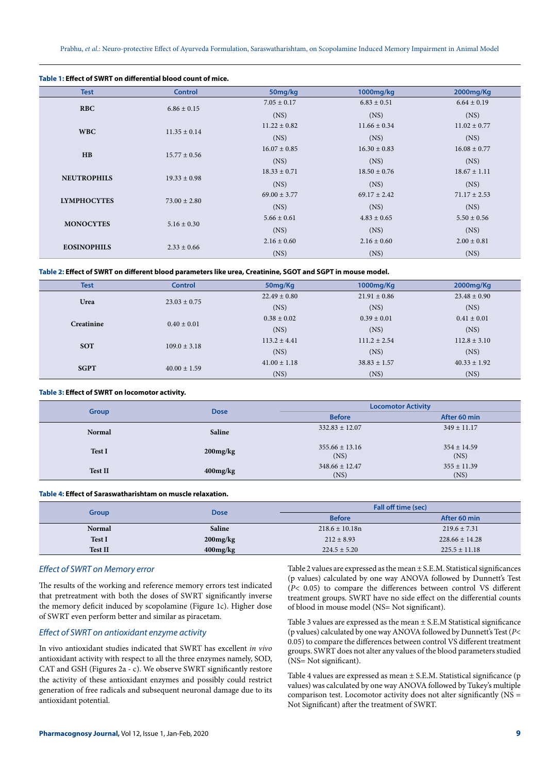Prabhu, *et al*.: Neuro-protective Effect of Ayurveda Formulation, Saraswatharishtam, on Scopolamine Induced Memory Impairment in Animal Model

| Table 1: Effect of SWRT on differential blood count of mice. |                  |                  |                  |                  |
|--------------------------------------------------------------|------------------|------------------|------------------|------------------|
| <b>Test</b>                                                  | <b>Control</b>   | 50mg/kg          | 1000mg/kg        | 2000mg/Kg        |
| <b>RBC</b>                                                   | $6.86 \pm 0.15$  | $7.05 \pm 0.17$  | $6.83 \pm 0.51$  | $6.64 \pm 0.19$  |
|                                                              |                  | (NS)             | (NS)             | (NS)             |
| <b>WBC</b>                                                   | $11.35 \pm 0.14$ | $11.22 \pm 0.82$ | $11.66 \pm 0.34$ | $11.02 \pm 0.77$ |
|                                                              |                  | (NS)             | (NS)             | (NS)             |
| H B                                                          | $15.77 \pm 0.56$ | $16.07 \pm 0.85$ | $16.30 \pm 0.83$ | $16.08 \pm 0.77$ |
|                                                              |                  | (NS)             | (NS)             | (NS)             |
| <b>NEUTROPHILS</b>                                           | $19.33 \pm 0.98$ | $18.33 \pm 0.71$ | $18.50 \pm 0.76$ | $18.67 \pm 1.11$ |
|                                                              |                  | (NS)             | (NS)             | (NS)             |
| <b>LYMPHOCYTES</b>                                           | $73.00 \pm 2.80$ | $69.00 \pm 3.77$ | $69.17 \pm 2.42$ | $71.17 \pm 2.53$ |
|                                                              |                  | (NS)             | (NS)             | (NS)             |
| <b>MONOCYTES</b>                                             | $5.16 \pm 0.30$  | $5.66 \pm 0.61$  | $4.83 \pm 0.65$  | $5.50 \pm 0.56$  |
|                                                              |                  | (NS)             | (NS)             | (NS)             |
| <b>EOSINOPHILS</b>                                           | $2.33 \pm 0.66$  | $2.16 \pm 0.60$  | $2.16 \pm 0.60$  | $2.00 \pm 0.81$  |
|                                                              |                  | (NS)             | (NS)             | (NS)             |

#### **Table 2: Effect of SWRT on different blood parameters like urea, Creatinine, SGOT and SGPT in mouse model.**

| <b>Test</b> | <b>Control</b>   | 50mg/Kg          | 1000mg/Kg        | 2000mg/Kg        |
|-------------|------------------|------------------|------------------|------------------|
| Urea        | $23.03 \pm 0.75$ | $22.49 \pm 0.80$ | $21.91 \pm 0.86$ | $23.48 \pm 0.90$ |
|             |                  | (NS)             | (NS)             | (NS)             |
| Creatinine  | $0.40 \pm 0.01$  | $0.38 \pm 0.02$  | $0.39 \pm 0.01$  | $0.41 \pm 0.01$  |
|             |                  | (NS)             | (NS)             | (NS)             |
| <b>SOT</b>  | $109.0 \pm 3.18$ | $113.2 \pm 4.41$ | $111.2 \pm 2.54$ | $112.8 \pm 3.10$ |
|             |                  | (NS)             | (NS)             | (NS)             |
| <b>SGPT</b> | $40.00 \pm 1.59$ | $41.00 \pm 1.18$ | $38.83 \pm 1.57$ | $40.33 \pm 1.92$ |
|             |                  | (NS)             | (NS)             | (NS)             |

## **Table 3: Effect of SWRT on locomotor activity.**

| Group          | <b>Dose</b>    | <b>Locomotor Activity</b>  |                         |  |
|----------------|----------------|----------------------------|-------------------------|--|
|                |                | <b>Before</b>              | After 60 min            |  |
| <b>Normal</b>  | Saline         | $332.83 \pm 12.07$         | $349 \pm 11.17$         |  |
| Test I         | $200$ mg/ $kg$ | $355.66 \pm 13.16$<br>(NS) | $354 \pm 14.59$<br>(NS) |  |
| <b>Test II</b> | $400$ mg/ $kg$ | $348.66 \pm 12.47$<br>(NS) | $355 \pm 11.39$<br>(NS) |  |

#### **Table 4: Effect of Saraswatharishtam on muscle relaxation.**

| Group          | <b>Dose</b>    | Fall off time (sec) |                    |  |
|----------------|----------------|---------------------|--------------------|--|
|                |                | <b>Before</b>       | After 60 min       |  |
| <b>Normal</b>  | <b>Saline</b>  | $218.6 \pm 10.18n$  | $219.6 \pm 7.31$   |  |
| <b>Test I</b>  | $200$ mg/ $kg$ | $212 \pm 8.93$      | $228.66 \pm 14.28$ |  |
| <b>Test II</b> | $400$ mg/ $kg$ | $224.5 \pm 5.20$    | $225.5 \pm 11.18$  |  |

## *Effect of SWRT on Memory error*

The results of the working and reference memory errors test indicated that pretreatment with both the doses of SWRT significantly inverse the memory deficit induced by scopolamine (Figure 1c). Higher dose of SWRT even perform better and similar as piracetam.

## *Effect of SWRT on antioxidant enzyme activity*

In vivo antioxidant studies indicated that SWRT has excellent *in vivo* antioxidant activity with respect to all the three enzymes namely, SOD, CAT and GSH (Figures 2a - c). We observe SWRT significantly restore the activity of these antioxidant enzymes and possibly could restrict generation of free radicals and subsequent neuronal damage due to its antioxidant potential.

Table 2 values are expressed as the mean ± S.E.M. Statistical significances (p values) calculated by one way ANOVA followed by Dunnett's Test (*P*< 0.05) to compare the differences between control VS different treatment groups. SWRT have no side effect on the differential counts of blood in mouse model (NS= Not significant).

Table 3 values are expressed as the mean ± S.E.M Statistical significance (p values) calculated by one way ANOVA followed by Dunnett's Test (*P*< 0.05) to compare the differences between control VS different treatment groups. SWRT does not alter any values of the blood parameters studied (NS= Not significant).

Table 4 values are expressed as mean ± S.E.M. Statistical significance (p values) was calculated by one way ANOVA followed by Tukey's multiple comparison test. Locomotor activity does not alter significantly (NS = Not Significant) after the treatment of SWRT.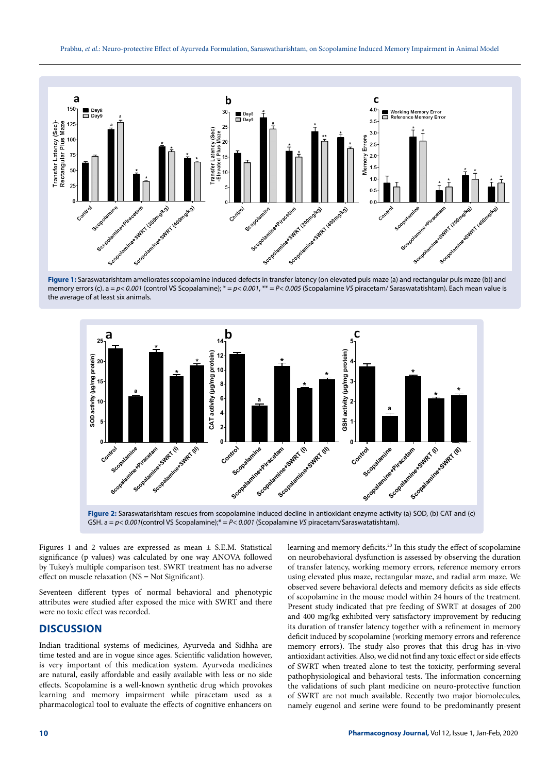





**Figure 2:** Saraswatarishtam rescues from scopolamine induced decline in antioxidant enzyme activity (a) SOD, (b) CAT and (c) GSH. a = *p< 0.001*(control VS Scopalamine);\* = *P< 0.001* (Scopalamine *VS* piracetam/Saraswatatishtam).

Figures 1 and 2 values are expressed as mean ± S.E.M. Statistical significance (p values) was calculated by one way ANOVA followed by Tukey's multiple comparison test. SWRT treatment has no adverse effect on muscle relaxation (NS = Not Significant).

Seventeen different types of normal behavioral and phenotypic attributes were studied after exposed the mice with SWRT and there were no toxic effect was recorded.

# **DISCUSSION**

Indian traditional systems of medicines, Ayurveda and Sidhha are time tested and are in vogue since ages. Scientific validation however, is very important of this medication system. Ayurveda medicines are natural, easily affordable and easily available with less or no side effects. Scopolamine is a well-known synthetic drug which provokes learning and memory impairment while piracetam used as a pharmacological tool to evaluate the effects of cognitive enhancers on learning and memory deficits.<sup>20</sup> In this study the effect of scopolamine on neurobehavioral dysfunction is assessed by observing the duration of transfer latency, working memory errors, reference memory errors using elevated plus maze, rectangular maze, and radial arm maze. We observed severe behavioral defects and memory deficits as side effects of scopolamine in the mouse model within 24 hours of the treatment. Present study indicated that pre feeding of SWRT at dosages of 200 and 400 mg/kg exhibited very satisfactory improvement by reducing its duration of transfer latency together with a refinement in memory deficit induced by scopolamine (working memory errors and reference memory errors). The study also proves that this drug has in-vivo antioxidant activities. Also, we did not find any toxic effect or side effects of SWRT when treated alone to test the toxicity, performing several pathophysiological and behavioral tests. The information concerning the validations of such plant medicine on neuro-protective function of SWRT are not much available. Recently two major biomolecules, namely eugenol and serine were found to be predominantly present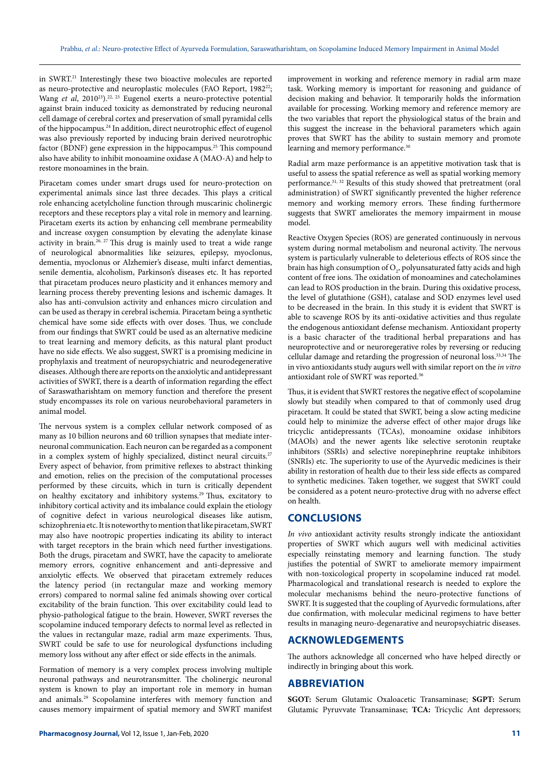in SWRT.21 Interestingly these two bioactive molecules are reported as neuro-protective and neuroplastic molecules (FAO Report, 1982<sup>22</sup>; Wang et al, 2010<sup>23</sup>).<sup>22, 23</sup> Eugenol exerts a neuro-protective potential against brain induced toxicity as demonstrated by reducing neuronal cell damage of cerebral cortex and preservation of small pyramidal cells of the hippocampus.24 In addition, direct neurotrophic effect of eugenol was also previously reported by inducing brain derived neurotrophic factor (BDNF) gene expression in the hippocampus.<sup>25</sup> This compound also have ability to inhibit monoamine oxidase A (MAO-A) and help to restore monoamines in the brain.

Piracetam comes under smart drugs used for neuro-protection on experimental animals since last three decades. This plays a critical role enhancing acetylcholine function through muscarinic cholinergic receptors and these receptors play a vital role in memory and learning. Piracetam exerts its action by enhancing cell membrane permeability and increase oxygen consumption by elevating the adenylate kinase activity in brain.<sup>26, 27</sup> This drug is mainly used to treat a wide range of neurological abnormalities like seizures, epilepsy, myoclonus, dementia, myoclonus or Alzhemier's disease, multi infarct dementias, senile dementia, alcoholism, Parkinson's diseases etc. It has reported that piracetam produces neuro plasticity and it enhances memory and learning process thereby preventing lesions and ischemic damages. It also has anti-convulsion activity and enhances micro circulation and can be used as therapy in cerebral ischemia. Piracetam being a synthetic chemical have some side effects with over doses. Thus, we conclude from our findings that SWRT could be used as an alternative medicine to treat learning and memory deficits, as this natural plant product have no side effects. We also suggest, SWRT is a promising medicine in prophylaxis and treatment of neuropsychiatric and neurodegenerative diseases. Although there are reports on the anxiolytic and antidepressant activities of SWRT, there is a dearth of information regarding the effect of Saraswatharishtam on memory function and therefore the present study encompasses its role on various neurobehavioral parameters in animal model.

The nervous system is a complex cellular network composed of as many as 10 billion neurons and 60 trillion synapses that mediate interneuronal communication. Each neuron can be regarded as a component in a complex system of highly specialized, distinct neural circuits.<sup>27</sup> Every aspect of behavior, from primitive reflexes to abstract thinking and emotion, relies on the precision of the computational processes performed by these circuits, which in turn is critically dependent on healthy excitatory and inhibitory systems.<sup>29</sup> Thus, excitatory to inhibitory cortical activity and its imbalance could explain the etiology of cognitive defect in various neurological diseases like autism, schizophrenia etc. It is noteworthy to mention that like piracetam, SWRT may also have nootropic properties indicating its ability to interact with target receptors in the brain which need further investigations. Both the drugs, piracetam and SWRT, have the capacity to ameliorate memory errors, cognitive enhancement and anti-depressive and anxiolytic effects. We observed that piracetam extremely reduces the latency period (in rectangular maze and working memory errors) compared to normal saline fed animals showing over cortical excitability of the brain function. This over excitability could lead to physio-pathological fatigue to the brain. However, SWRT reverses the scopolamine induced temporary defects to normal level as reflected in the values in rectangular maze, radial arm maze experiments. Thus, SWRT could be safe to use for neurological dysfunctions including memory loss without any after effect or side effects in the animals.

Formation of memory is a very complex process involving multiple neuronal pathways and neurotransmitter. The cholinergic neuronal system is known to play an important role in memory in human and animals.29 Scopolamine interferes with memory function and causes memory impairment of spatial memory and SWRT manifest

improvement in working and reference memory in radial arm maze task. Working memory is important for reasoning and guidance of decision making and behavior. It temporarily holds the information available for processing. Working memory and reference memory are the two variables that report the physiological status of the brain and this suggest the increase in the behavioral parameters which again proves that SWRT has the ability to sustain memory and promote learning and memory performance.<sup>30</sup>

Radial arm maze performance is an appetitive motivation task that is useful to assess the spatial reference as well as spatial working memory performance.31, 32 Results of this study showed that pretreatment (oral administration) of SWRT significantly prevented the higher reference memory and working memory errors. These finding furthermore suggests that SWRT ameliorates the memory impairment in mouse model.

Reactive Oxygen Species (ROS) are generated continuously in nervous system during normal metabolism and neuronal activity. The nervous system is particularly vulnerable to deleterious effects of ROS since the brain has high consumption of  $\mathrm{O}_{\mathit{2}}$ , polyunsaturated fatty acids and high content of free ions. The oxidation of monoamines and catecholamines can lead to ROS production in the brain. During this oxidative process, the level of glutathione (GSH), catalase and SOD enzymes level used to be decreased in the brain. In this study it is evident that SWRT is able to scavenge ROS by its anti-oxidative activities and thus regulate the endogenous antioxidant defense mechanism. Antioxidant property is a basic character of the traditional herbal preparations and has neuroprotective and or neuroregerative roles by reversing or reducing cellular damage and retarding the progression of neuronal loss.33,34 The in vivo antioxidants study augurs well with similar report on the *in vitro* antioxidant role of SWRT was reported.36

Thus, it is evident that SWRT restores the negative effect of scopolamine slowly but steadily when compared to that of commonly used drug piracetam. It could be stated that SWRT, being a slow acting medicine could help to minimize the adverse effect of other major drugs like tricyclic antidepressants (TCAs), monoamine oxidase inhibitors (MAOIs) and the newer agents like selective serotonin reuptake inhibitors (SSRIs) and selective norepinephrine reuptake inhibitors (SNRIs) etc. The superiority to use of the Ayurvedic medicines is their ability in restoration of health due to their less side effects as compared to synthetic medicines. Taken together, we suggest that SWRT could be considered as a potent neuro-protective drug with no adverse effect on health.

## **CONCLUSIONS**

*In vivo* antioxidant activity results strongly indicate the antioxidant properties of SWRT which augurs well with medicinal activities especially reinstating memory and learning function. The study justifies the potential of SWRT to ameliorate memory impairment with non-toxicological property in scopolamine induced rat model. Pharmacological and translational research is needed to explore the molecular mechanisms behind the neuro-protective functions of SWRT. It is suggested that the coupling of Ayurvedic formulations, after due confirmation, with molecular medicinal regimens to have better results in managing neuro-degenarative and neuropsychiatric diseases.

## **ACKNOWLEDGEMENTS**

The authors acknowledge all concerned who have helped directly or indirectly in bringing about this work.

## **ABBREVIATION**

**SGOT:** Serum Glutamic Oxaloacetic Transaminase; **SGPT:** Serum Glutamic Pyruvvate Transaminase; **TCA:** Tricyclic Ant depressors;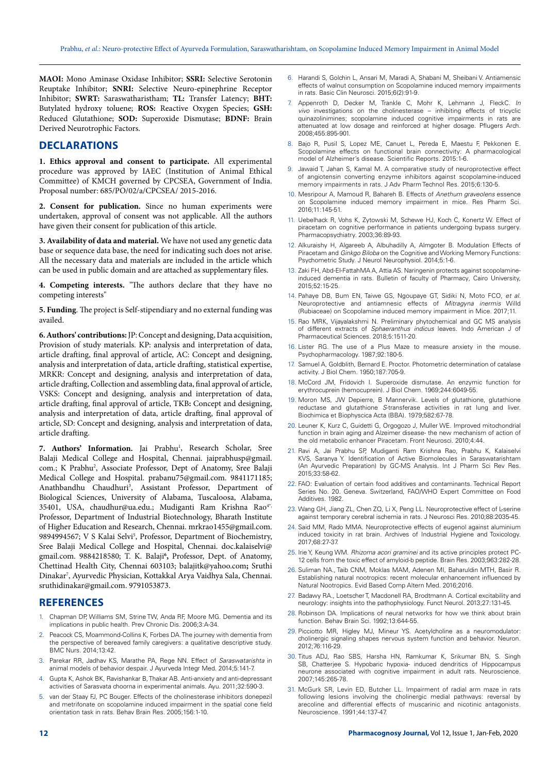**MAOI:** Mono Aminase Oxidase Inhibitor; **SSRI:** Selective Serotonin Reuptake Inhibitor; **SNRI:** Selective Neuro-epinephrine Receptor Inhibitor; **SWRT:** Saraswatharistham; **TL:** Transfer Latency; **BHT:** Butylated hydroxy toluene; **ROS:** Reactive Oxygen Species; **GSH:** Reduced Glutathione; **SOD:** Superoxide Dismutase; **BDNF:** Brain Derived Neurotrophic Factors.

## **DECLARATIONS**

**1. Ethics approval and consent to participate.** All experimental procedure was approved by IAEC (Institution of Animal Ethical Committee) of KMCH governed by CPCSEA, Government of India. Proposal number: 685/PO/02/a/CPCSEA/ 2015-2016.

**2. Consent for publication.** Since no human experiments were undertaken, approval of consent was not applicable. All the authors have given their consent for publication of this article.

**3. Availability of data and material.** We have not used any genetic data base or sequence data base, the need for indicating such does not arise. All the necessary data and materials are included in the article which can be used in public domain and are attached as supplementary files.

**4. Competing interests.** "The authors declare that they have no competing interests"

**5. Funding**. The project is Self-stipendiary and no external funding was availed.

**6. Authors' contributions:** JP: Concept and designing, Data acquisition, Provision of study materials. KP: analysis and interpretation of data, article drafting, final approval of article, AC: Concept and designing, analysis and interpretation of data, article drafting, statistical expertise, MRKR: Concept and designing, analysis and interpretation of data, article drafting, Collection and assembling data, final approval of article, VSKS: Concept and designing, analysis and interpretation of data, article drafting, final approval of article, TKB**:** Concept and designing, analysis and interpretation of data, article drafting, final approval of article, SD: Concept and designing, analysis and interpretation of data, article drafting.

7. Authors' Information. Jai Prabhu<sup>1</sup>, Research Scholar, Sree Balaji Medical College and Hospital, [Chennai. jaiprabhusp@gmail.](mailto:Chennai. jaiprabhusp@gmail.com) [com](mailto:Chennai. jaiprabhusp@gmail.com).; K Prabhu<sup>2</sup>, Associate Professor, Dept of Anatomy, Sree Balaji Medical College and Hospital. [prabanu75@gmail.com.](mailto:prabanu75@gmail.com) 9841171185; Anathbandhu Chaudhuri<sup>3</sup>, Assistant Professor, Department of Biological Sciences, University of Alabama, Tuscaloosa, Alabama, 35401, USA, [chaudhur@ua.edu](mailto:chaudhur@ua.edu).; Mudiganti Ram Krishna Rao<sup>4\*,</sup> Professor, Department of Industrial Biotechnology, Bharath Institute of Higher Education and Research, Chennai. [mrkrao1455@gmail.com](mailto:mrkrao1455@gmail.com). 9894994567; V S Kalai Selvi<sup>5</sup>, Professor, Department of Biochemistry, Sree Balaji Medical College and Hospital, Chennai. [doc.kalaiselvi@](mailto:doc.kalaiselvi@gmail.com) [gmail.com](mailto:doc.kalaiselvi@gmail.com). 9884218580; T. K. Balaji<sup>6</sup>, Professor, Dept. of Anatomy, Chettinad Health City, Chennai 603103; [balajitk@yahoo.com](mailto:balajitk@yahoo.com)**;** Sruthi Dinakar7 , Ayurvedic Physician, Kottakkal Arya Vaidhya Sala, Chennai. [sruthidinakar@gmail.com](mailto:sruthidinakar@gmail.com). 9791053873.

## **REFERENCES**

- 1. Chapman DP, Williams SM, Strine TW, Anda RF, Moore MG. Dementia and its implications in public health. Prev Chronic Dis. 2006;3:A-34.
- 2. Peacock CS, Moammond-Collins K, Forbes DA. The journey with dementia from the perspective of bereaved family caregivers: a qualitative descriptive study. BMC Nurs. 2014;13:42.
- 3. Parekar RR, Jadhav KS, Marathe PA, Rege NN. Effect of *Saraswatarishta* in animal models of behavior despair. J Ayurveda Integr Med. 2014;5:141-7.
- 4. Gupta K, Ashok BK, Ravishankar B, Thakar AB. Anti-anxiety and anti-depressant activities of Sarasvata choorna in experimental animals. Ayu. 2011;32:590-3.
- 5. van der Staay FJ, PC Bouger. Effects of the cholinesterase inhibitors donepezil and metrifonate on scopolamine induced impairment in the spatial cone field orientation task in rats. Behav Brain Res*.* 2005;156:1-10.
- 6. Harandi S, Golchin L, Ansari M, Maradi A, Shabani M, Sheibani V. Antiamensic effects of walnut consumption on Scopolamine induced memory impairments in rats. Basic Clin Neurosci. 2015;6(2):91-9.
- 7. Appenroth D, Decker M, Trankle C, Mohr K, Lehmann J, FleckC. *In vivo* investigations on the cholinesterase – inhibiting effects of tricyclic quinazolinimines; scopolamine induced cognitive impairments in rats are attenuated at low dosage and reinforced at higher dosage. Pflugers Arch. 2008;455:895-901.
- Bajo R, Pusil S, Lopez ME, Canuet L, Pereda E, Maestu F, Pekkonen E. Scopolamine effects on functional brain connectivity: A pharmacological model of Alzheimer's disease. Scientific Reports. 2015:1-6.
- 9. Jawaid T, Jahan S, Kamal M. A comparative study of neuroprotective effect of angiotensin converting enzyme inhibitors against scopolamine-induced memory impairments in rats. J Adv Pharm Technol Res. 2015;6:130-5.
- 10. Mesripour A, Mamoud R, Bahareh B. Effects of *Anethum graveolens* essence on Scopolamine induced memory impairment in mice. Res Pharm Sci. 2016;11:145-51.
- 11. Uebelhack R, Vohs K, Zytowski M, Schewe HJ, Koch C, Konertz W. Effect of piracetam on cognitive performance in patients undergoing bypass surgery. Pharmacopsychiatry. 2003;36:89-93.
- 12. Alkuraishy H, Algareeb A, Albuhadilly A, Almgoter B. Modulation Effects of Piracetam and *Ginkgo Biloba* on the Cognitive and Working Memory Functions: Psychometric Study. J Neurol Neurophysiol. 2014;5:1-6.
- 13. Zaki FH, Abd-El-FattahMA A, Attia AS. Naringenin protects against scopolamineinduced dementia in rats. Bulletin of faculty of Pharmacy*,* Cairo University, 2015;52:15-25.
- 14. Pahaye DB, Bum EN, Taiwe GS, Ngoupaye GT, Sidiki N, Moto FCO, *et al.* Neuroprotective and antiamnesic effects of *Mitragyna inermis* Willd (Rubiaceae) on Scopolamine induced memory impairment in Mice. 2017;11.
- 15. Rao MRK, Vijayalakshmi N. Preliminary phytochemical and GC MS analysis of different extracts of *Sphaeranthus indicus* leaves. Indo American J of Pharmaceutical Sciences. 2018;5:1511-20.
- 16. Lister RG. The use of a Plus Maze to measure anxiety in the mouse. Psychopharmacology. 1987;92:180-5.
- Samuel A, Goldblith, Bernard E. Proctor. Photometric determination of catalase activity. J Biol Chem. 1950;187:705-9.
- 18. McCord JM, Fridovich I. Superoxide dismutase. An enzymic function for erythrocuprein (hemocuprein). J Biol Chem. 1969;244:6049-55.
- 19. Moron MS, JW Depierre, B Mannervik. Levels of glutathione, glutathione reductase and glutathione *S*-transferase activities in rat lung and liver. Biochimica et Biophyscica Acta (BBA). 1979;582:67-78.
- 20. Leuner K, Kurz C, Guidetti G, Orgogozo J, Muller WE. Improved mitochondrial function in brain aging and Alzeimer disease- the new mechanism of action of the old metabolic enhancer Piracetam*.* Front Neurosci. 2010;4:44.
- 21. Ravi A, Jai Prabhu SP, Mudiganti Ram Krishna Rao, Prabhu K, Kalaiselvi KVS, Saranya Y. Identification of Active Biomolecules in Saraswatarishtam (An Ayurvedic Preparation) by GC-MS Analysis. Int J Pharm Sci Rev Res. 2015;33:58-62.
- 22. FAO: Evaluation of certain food additives and contaminants. Technical Report Series No. 20. Geneva. Switzerland, FAO/WHO Expert Committee on Food Additives. 1982.
- 23. Wang GH, Jiang ZL, Chen ZQ, Li X, Peng LL. Neuroprotective effect of L-serine against temporary cerebral ischemia in rats. J Neurosci Res. 2010;88:2035-45.
- 24. Said MM, Rado MMA. Neuroprotective effects of eugenol against aluminium induced toxicity in rat brain. Archives of Industrial Hygiene and Toxicology. 2017;68:27-37.
- 25. Irie Y, Keung WM. *Rhizoma acori graminei* and its active principles protect PC-12 cells from the toxic effect of amyloid-b peptide. Brain Res. 2003;963:282-28.
- 26. Suliman NA., Taib CNM, Moklas MAM, Adenen MI, Baharuldin MTH, Basir R. Establishing natural nootropics: recent molecular enhancement influenced by Natural Nootropics. Evid Based Comp Altern Med. 2016;2016.
- 27. Badawy RA., Loetscher T, Macdonell RA, Brodtmann A. Cortical excitability and neurology: insights into the pathophysiology. Funct Neurol. 2013;27:131-45.
- 28. Robinson DA. Implications of neural networks for how we think about brain function. Behav Brain Sci. 1992;13:644-55.
- 29. Picciotto MR, Higley MJ, Mineur YS. Acetylcholine as a neuromodulator: cholinergic signaling shapes nervous system function and behavior. Neuron. 2012;76:116-29.
- 30. Titus ADJ, Rao SBS, Harsha HN, Ramkumar K, Srikumar BN, S. Singh SB, Chatterjee S. Hypobaric hypoxia- induced dendritics of Hippocampus neurone associated with cognitive impairment in adult rats. Neuroscience. 2007;145:265-78.
- 31. McGurk SR, Levin ED, Butcher LL. Impairment of radial arm maze in rats following lesions involving the cholinergic medial pathways: reversal by arecoline and differential effects of muscarinic and nicotinic antagonists. Neuroscience. 1991;44:137-47.